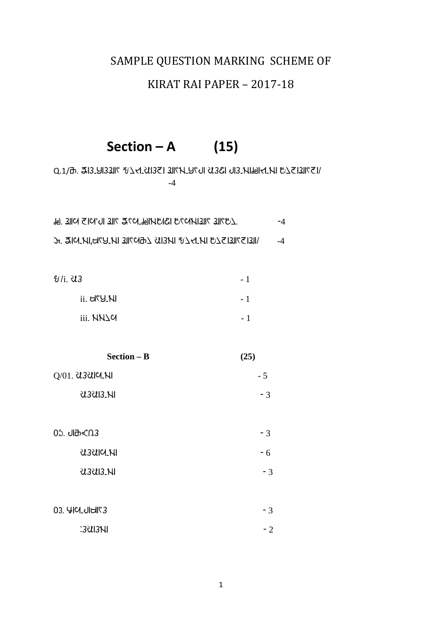# SAMPLE QUESTION MARKING SCHEME OF

### KIRAT RAI PAPER – 2017-18

# **Section – A (15)**

 $N$ D.1/b. 313.913311  $N$ 201321 3113450131 13361 013. Nibella ibisable .0.1/b -4

| โต: 31 เดินเวลา 31 เวลา 35 น. 25 ม. 31 เวลา 31 เวลา 31 เวลา 31 เวลา 31 เวลา 31 เวลา 31 เวลา 31 เวลา 3 | $-4$ |  |
|-------------------------------------------------------------------------------------------------------|------|--|
| YEISJIKEISKI SIKKIN SIGNJIK ZANJIK HZUSHZINI SI                                                       | $-4$ |  |

| <i>Ul</i> i. U3  | $-1$           |
|------------------|----------------|
| $ii.$ d $Y$ U.NI | - 1            |
| iii. NN1C        | $\overline{a}$ |

| $Section - B$    | (25) |
|------------------|------|
| $Q/01.$ Usulches | - 5  |
| U.SUIS.NI        | - 3  |
|                  |      |

| 0ኌ ብፁ<ሆ]                | - 3 |
|-------------------------|-----|
| <i><b>USSUIG.NI</b></i> | - 6 |
| U.SUIS.NI               | - 3 |

| 03. YICLULLING | $-3$ |
|----------------|------|
| :3UI3NI        | $-2$ |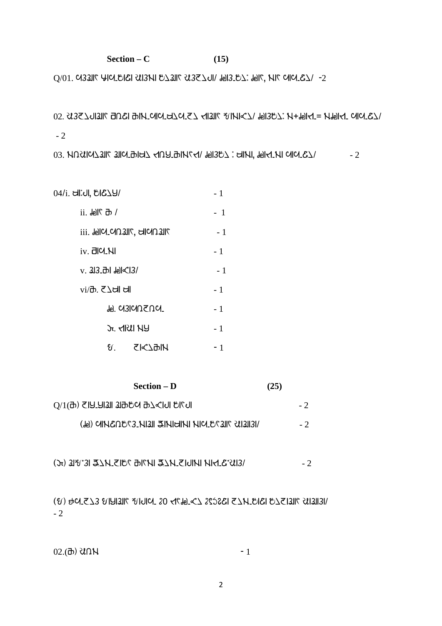#### $Section - C$  (15)

 $Q/01$ . CHOZWE WISH USAR USE WIR WISH WISH WISH  $\mu$  and  $\mu$  and  $\mu$  of  $Q$ 

```
02. 3325ଧାଆ21 abela abit chorator 57 < 41ଆ67 81 mpc7 , 91957; 11919111101010101010- 2
```
 $03.$  NQ  $U(1)$   $U(2)$   $U(3)$   $U(4)$   $U(5)$   $U(7)$   $U(8)$   $U(7)$   $U(8)$   $U(9)$   $U(1)$   $U(1)$   $U(1)$   $U(1)$   $U(1)$   $U(1)$   $U(1)$   $U(1)$   $U(1)$   $U(1)$   $U(1)$   $U(1)$   $U(1)$   $U(1)$   $U(1)$   $U(1)$   $U(1)$   $U(1)$   $U(1)$   $U(1)$   $U$ 

 $04/$ i.  $\text{Cl}$ i. $\text{Cl}$ ,  $\text{Cl}$  $\mathcal{L}$  $\text{Cl}$ / $\text{Cl}$ 

| !! ` וו <del>י (</del> 4)      | - 1                        |      |
|--------------------------------|----------------------------|------|
| iii. HollCL (AD 311) CHAIL III |                            | - 1  |
| iv. 리어.NI                      |                            | $-1$ |
| v. 3l3_क्र  मा⊲( 3/            | - 1                        |      |
| vi/ਰੋ.  て∆ਖੀ ਖੀ                |                            | $-1$ |
|                                | <u><b>⊮</b> ભ3ାભUS U ભ</u> | - 1  |
|                                | Jr. KIRII NY               | - 1  |
|                                |                            | - 1  |

| <b>Section – D</b>                                                         | (25) |  |
|----------------------------------------------------------------------------|------|--|
| O\1(₽) ≤IA`AI3II 3I9\$α 97 <i^ii q\l^i<="" td=""><td></td><td></td></i^ii> |      |  |
| <b>(HEILLE 715-1212) SIMULLE IEIH 2020 JUNIO (HE)</b>                      |      |  |

 $(\pi)$  j is used to the treater than  $\frac{1}{2}$  in the  $\frac{1}{2}$  code to  $\frac{1}{2}$ 

 $(3)$  and  $2$  and  $4$  and  $4$  and  $2$  and  $2$  and  $2$  and  $3$  is and  $3$  is and  $3$  is and  $3$  is and  $3$  is and  $3$  is and  $3$  is and  $3$  is and  $3$  is and  $3$  is and  $3$  is and  $3$  is and  $3$  is and  $3$  is and  $3$  is an - 2

2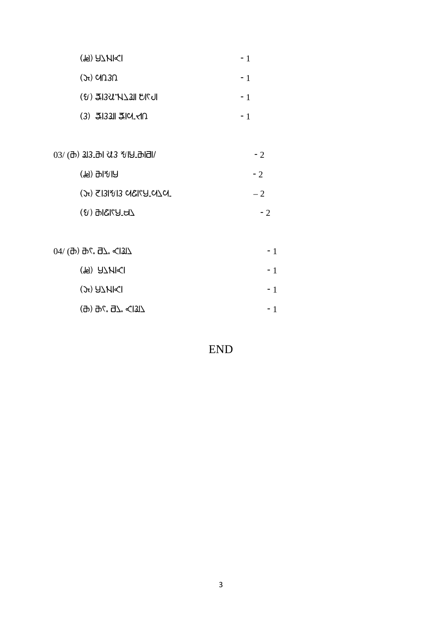| (F) A7MI <i< th=""><th></th></i<> |  |
|-----------------------------------|--|
|                                   |  |

- $(\pi)$  cin 30
- $(8)$  3.13 $31$   $21$   $30$   $1$   $1$   $1$
- $(3)$  3.13311 3.101  $\cdot$  1

| $03/$ (a) $33.$ al $33.$ al $19.$ alal/                                                  | $-2$ |
|------------------------------------------------------------------------------------------|------|
| (刊) 뫼ኤ(円)                                                                                | $-2$ |
| $\mathcal{L}(\mathcal{L})$ and $\mathcal{L}(\mathcal{L})$ and $\mathcal{L}(\mathcal{L})$ | $-2$ |
| $\angle$ B_P $\%$ ISIG $\%$                                                              | - 2  |

| 04/ (ፁ) ፁ¢. Әג. <1317                                     | - 1  |
|-----------------------------------------------------------|------|
| (F) A7 <i>H</i> I <i< td=""><td><math>-1</math></td></i<> | $-1$ |
| $J$ $J_{\rm 2}$ $J_{\rm 2}$                               | $-1$ |
| (ፁ) ፁ¢. Ә7" <(1317                                        | - 1  |

# END